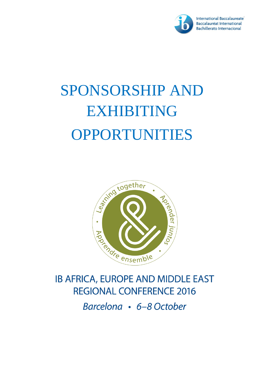

# SPONSORSHIP AND **EXHIBITING** OPPORTUNITIES



# **IB AFRICA, EUROPE AND MIDDLE EAST REGIONAL CONFERENCE 2016**

Barcelona • 6-8 October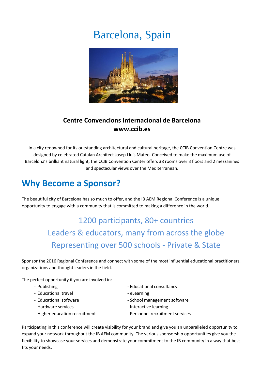# Barcelona, Spain



### **Centre Convencions Internacional de Barcelona www.ccib.es**

In a city renowned for its outstanding architectural and cultural heritage, the CCIB Convention Centre was designed by celebrated Catalan Architect Josep Lluís Mateo. Conceived to make the maximum use of Barcelona's brilliant natural light, the CCIB Convention Center offers 38 rooms over 3 floors and 2 mezzanines and spectacular views over the Mediterranean.

# **Why Become a Sponsor?**

The beautiful city of Barcelona has so much to offer, and the IB AEM Regional Conference is a unique opportunity to engage with a community that is committed to making a difference in the world.

# 1200 participants, 80+ countries Leaders & educators, many from across the globe Representing over 500 schools - Private & State

Sponsor the 2016 Regional Conference and connect with some of the most influential educational practitioners, organizations and thought leaders in the field.

The perfect opportunity if you are involved in:

- 
- Educational travel example that the elearning
- 
- 
- 
- Publishing  $\overline{a}$  Educational consultancy
	-
- Educational software  $\overline{\phantom{a}}$  School management software
- Hardware services Interactive learning
- Higher education recruitment Personnel recruitment services

Participating in this conference will create visibility for your brand and give you an unparalleled opportunity to expand your network throughout the IB AEM community. The various sponsorship opportunities give you the flexibility to showcase your services and demonstrate your commitment to the IB community in a way that best fits your needs.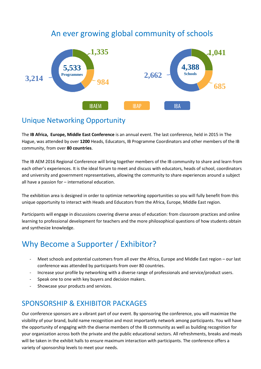### An ever growing global community of schools



### Unique Networking Opportunity

The **IB Africa, Europe, Middle East Conference** is an annual event. The last conference, held in 2015 in The Hague, was attended by over **1200** Heads, Educators, IB Programme Coordinators and other members of the IB community, from over **80 countries**.

The IB AEM 2016 Regional Conference will bring together members of the IB community to share and learn from each other's experiences. It is the ideal forum to meet and discuss with educators, heads of school, coordinators and university and government representatives, allowing the community to share experiences around a subject all have a passion for – international education.

The exhibition area is designed in order to optimize networking opportunities so you will fully benefit from this unique opportunity to interact with Heads and Educators from the Africa, Europe, Middle East region.

Participants will engage in discussions covering diverse areas of education: from classroom practices and online learning to professional development for teachers and the more philosophical questions of how students obtain and synthesize knowledge.

## Why Become a Supporter / Exhibitor?

- Meet schools and potential customers from all over the Africa, Europe and Middle East region our last conference was attended by participants from over 80 countries.
- Increase your profile by networking with a diverse range of professionals and service/product users.
- Speak one to one with key buyers and decision makers.
- Showcase your products and services.

### SPONSORSHIP & EXHIBITOR PACKAGES

Our conference sponsors are a vibrant part of our event. By sponsoring the conference, you will maximize the visibility of your brand, build name recognition and most importantly network among participants. You will have the opportunity of engaging with the diverse members of the IB community as well as building recognition for your organization across both the private and the public educational sectors. All refreshments, breaks and meals will be taken in the exhibit halls to ensure maximum interaction with participants. The conference offers a variety of sponsorship levels to meet your needs.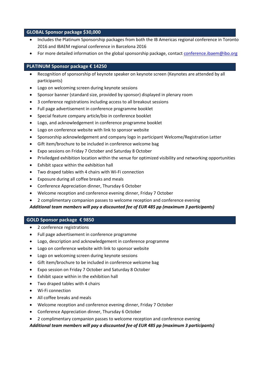#### **GLOBAL Sponsor package \$30,000**

- Includes the Platinum Sponsorship packages from both the IB Americas regional conference in Toronto 2016 and IBAEM regional conference in Barcelona 2016
- For more detailed information on the global sponsorship package, contact [conference.ibaem@ibo.org](mailto:conference.ibaem@ibo.org)

#### **PLATINUM Sponsor package € 14250**

- Recognition of sponsorship of keynote speaker on keynote screen (Keynotes are attended by all participants)
- Logo on welcoming screen during keynote sessions
- Sponsor banner (standard size, provided by sponsor) displayed in plenary room
- 3 conference registrations including access to all breakout sessions
- Full page advertisement in conference programme booklet
- Special feature company article/bio in conference booklet
- Logo, and acknowledgement in conference programme booklet
- Logo on conference website with link to sponsor website
- Sponsorship acknowledgement and company logo in participant Welcome/Registration Letter
- Gift item/brochure to be included in conference welcome bag
- Expo sessions on Friday 7 October and Saturday 8 October
- Priviledged exhibition location within the venue for optimized visibility and networking opportunities
- Exhibit space within the exhibition hall
- Two draped tables with 4 chairs with Wi-Fi connection
- Exposure during all coffee breaks and meals
- Conference Appreciation dinner, Thursday 6 October
- Welcome reception and conference evening dinner, Friday 7 October
- 2 complimentary companion passes to welcome reception and conference evening

#### *Additional team members will pay a discounted fee of EUR 485 pp (maximum 3 participants)*

#### **GOLD Sponsor package € 9850**

- 2 conference registrations
- Full page advertisement in conference programme
- Logo, description and acknowledgement in conference programme
- Logo on conference website with link to sponsor website
- Logo on welcoming screen during keynote sessions
- Gift item/brochure to be included in conference welcome bag
- Expo session on Friday 7 October and Saturday 8 October
- Exhibit space within in the exhibition hall
- Two draped tables with 4 chairs
- Wi-Fi connection
- All coffee breaks and meals
- Welcome reception and conference evening dinner, Friday 7 October
- Conference Appreciation dinner, Thursday 6 October
- 2 complimentary companion passes to welcome reception and conference evening

*Additional team members will pay a discounted fee of EUR 485 pp (maximum 3 participants)*